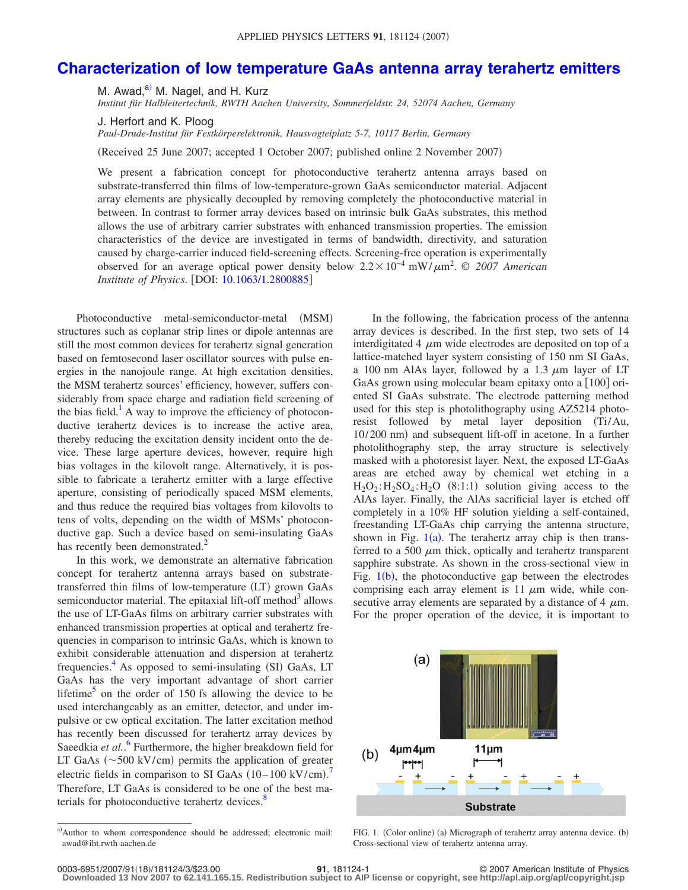## **[Characterization of low temperature GaAs antenna array terahertz emitters](http://dx.doi.org/10.1063/1.2800885)**

M. Awad,<sup>a)</sup> M. Nagel, and H. Kurz

*Institut für Halbleitertechnik, RWTH Aachen University, Sommerfeldstr. 24, 52074 Aachen, Germany*

J. Herfort and K. Ploog

*Paul-Drude-Institut für Festkörperelektronik, Hausvogteiplatz 5-7, 10117 Berlin, Germany*

Received 25 June 2007; accepted 1 October 2007; published online 2 November 2007-

We present a fabrication concept for photoconductive terahertz antenna arrays based on substrate-transferred thin films of low-temperature-grown GaAs semiconductor material. Adjacent array elements are physically decoupled by removing completely the photoconductive material in between. In contrast to former array devices based on intrinsic bulk GaAs substrates, this method allows the use of arbitrary carrier substrates with enhanced transmission properties. The emission characteristics of the device are investigated in terms of bandwidth, directivity, and saturation caused by charge-carrier induced field-screening effects. Screening-free operation is experimentally observed for an average optical power density below 2.2 × 10<sup>-4</sup> mW/ $\mu$ m<sup>2</sup>. © 2007 American *Institute of Physics.* [DOI: [10.1063/1.2800885](http://dx.doi.org/10.1063/1.2800885)]

Photoconductive metal-semiconductor-metal (MSM) structures such as coplanar strip lines or dipole antennas are still the most common devices for terahertz signal generation based on femtosecond laser oscillator sources with pulse energies in the nanojoule range. At high excitation densities, the MSM terahertz sources' efficiency, however, suffers considerably from space charge and radiation field screening of the bias field.<sup>1</sup> A way to improve the efficiency of photoconductive terahertz devices is to increase the active area, thereby reducing the excitation density incident onto the device. These large aperture devices, however, require high bias voltages in the kilovolt range. Alternatively, it is possible to fabricate a terahertz emitter with a large effective aperture, consisting of periodically spaced MSM elements, and thus reduce the required bias voltages from kilovolts to tens of volts, depending on the width of MSMs' photoconductive gap. Such a device based on semi-insulating GaAs has recently been demonstrated.<sup>2</sup>

In this work, we demonstrate an alternative fabrication concept for terahertz antenna arrays based on substratetransferred thin films of low-temperature (LT) grown GaAs semiconductor material. The epitaxial lift-off method $3$  allows the use of LT-GaAs films on arbitrary carrier substrates with enhanced transmission properties at optical and terahertz frequencies in comparison to intrinsic GaAs, which is known to exhibit considerable attenuation and dispersion at terahertz frequencies.<sup>4</sup> As opposed to semi-insulating (SI) GaAs, LT GaAs has the very important advantage of short carrier lifetime<sup>5</sup> on the order of 150 fs allowing the device to be used interchangeably as an emitter, detector, and under impulsive or cw optical excitation. The latter excitation method has recently been discussed for terahertz array devices by Saeedkia et al..<sup>[6](#page-2-5)</sup> Furthermore, the higher breakdown field for LT GaAs  $({\sim}500 \text{ kV/cm})$  permits the application of greater electric fields in comparison to SI GaAs  $(10-100 \text{ kV/cm})$ . Therefore, LT GaAs is considered to be one of the best materials for photoconductive terahertz devices.<sup>8</sup>

In the following, the fabrication process of the antenna array devices is described. In the first step, two sets of 14 interdigitated 4  $\mu$ m wide electrodes are deposited on top of a lattice-matched layer system consisting of 150 nm SI GaAs, a 100 nm AlAs layer, followed by a 1.3  $\mu$ m layer of LT GaAs grown using molecular beam epitaxy onto a  $[100]$  oriented SI GaAs substrate. The electrode patterning method used for this step is photolithography using AZ5214 photoresist followed by metal layer deposition (Ti/Au, 10/200 nm) and subsequent lift-off in acetone. In a further photolithography step, the array structure is selectively masked with a photoresist layer. Next, the exposed LT-GaAs areas are etched away by chemical wet etching in a  $H_2O_2$ :  $H_2SO_4$ :  $H_2O$  (8:1:1) solution giving access to the AlAs layer. Finally, the AlAs sacrificial layer is etched off completely in a 10% HF solution yielding a self-contained, freestanding LT-GaAs chip carrying the antenna structure, shown in Fig.  $1(a)$  $1(a)$ . The terahertz array chip is then transferred to a 500  $\mu$ m thick, optically and terahertz transparent sapphire substrate. As shown in the cross-sectional view in Fig.  $1(b)$  $1(b)$ , the photoconductive gap between the electrodes comprising each array element is 11  $\mu$ m wide, while consecutive array elements are separated by a distance of 4  $\mu$ m. For the proper operation of the device, it is important to

<span id="page-0-1"></span>

FIG. 1. (Color online) (a) Micrograph of terahertz array antenna device. (b) Cross-sectional view of terahertz antenna array.

**Downloaded 13 Nov 2007 to 62.141.165.15. Redistribution subject to AIP license or copyright, see http://apl.aip.org/apl/copyright.jsp**

<span id="page-0-0"></span>a)Author to whom correspondence should be addressed; electronic mail: awad@iht.rwth-aachen.de

<sup>18</sup>/181124/3/\$23.00 © 2007 American Institute of Physics **91**, 181124-1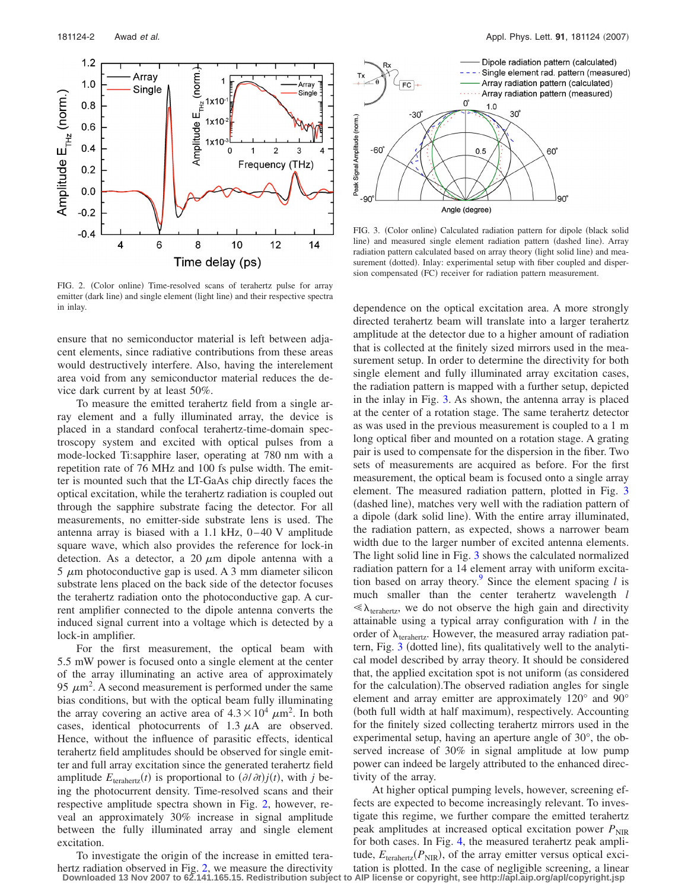<span id="page-1-0"></span>

FIG. 2. (Color online) Time-resolved scans of terahertz pulse for array emitter (dark line) and single element (light line) and their respective spectra in inlay.

ensure that no semiconductor material is left between adjacent elements, since radiative contributions from these areas would destructively interfere. Also, having the interelement area void from any semiconductor material reduces the device dark current by at least 50%.

To measure the emitted terahertz field from a single array element and a fully illuminated array, the device is placed in a standard confocal terahertz-time-domain spectroscopy system and excited with optical pulses from a mode-locked Ti:sapphire laser, operating at 780 nm with a repetition rate of 76 MHz and 100 fs pulse width. The emitter is mounted such that the LT-GaAs chip directly faces the optical excitation, while the terahertz radiation is coupled out through the sapphire substrate facing the detector. For all measurements, no emitter-side substrate lens is used. The antenna array is biased with a 1.1 kHz,  $0-40$  V amplitude square wave, which also provides the reference for lock-in detection. As a detector, a 20  $\mu$ m dipole antenna with a 5  $\mu$ m photoconductive gap is used. A 3 mm diameter silicon substrate lens placed on the back side of the detector focuses the terahertz radiation onto the photoconductive gap. A current amplifier connected to the dipole antenna converts the induced signal current into a voltage which is detected by a lock-in amplifier.

For the first measurement, the optical beam with 5.5 mW power is focused onto a single element at the center of the array illuminating an active area of approximately 95  $\mu$ m<sup>2</sup>. A second measurement is performed under the same bias conditions, but with the optical beam fully illuminating the array covering an active area of  $4.3 \times 10^4 \ \mu m^2$ . In both cases, identical photocurrents of 1.3  $\mu$ A are observed. Hence, without the influence of parasitic effects, identical terahertz field amplitudes should be observed for single emitter and full array excitation since the generated terahertz field amplitude  $E_{\text{transferz}}(t)$  is proportional to  $(\partial/\partial t)j(t)$ , with *j* being the photocurrent density. Time-resolved scans and their respective amplitude spectra shown in Fig. [2,](#page-1-0) however, reveal an approximately 30% increase in signal amplitude between the fully illuminated array and single element excitation.

<span id="page-1-1"></span>

FIG. 3. (Color online) Calculated radiation pattern for dipole (black solid line) and measured single element radiation pattern (dashed line). Array radiation pattern calculated based on array theory (light solid line) and measurement (dotted). Inlay: experimental setup with fiber coupled and dispersion compensated (FC) receiver for radiation pattern measurement.

dependence on the optical excitation area. A more strongly directed terahertz beam will translate into a larger terahertz amplitude at the detector due to a higher amount of radiation that is collected at the finitely sized mirrors used in the measurement setup. In order to determine the directivity for both single element and fully illuminated array excitation cases, the radiation pattern is mapped with a further setup, depicted in the inlay in Fig. [3.](#page-1-1) As shown, the antenna array is placed at the center of a rotation stage. The same terahertz detector as was used in the previous measurement is coupled to a 1 m long optical fiber and mounted on a rotation stage. A grating pair is used to compensate for the dispersion in the fiber. Two sets of measurements are acquired as before. For the first measurement, the optical beam is focused onto a single array element. The measured radiation pattern, plotted in Fig. [3](#page-1-1) (dashed line), matches very well with the radiation pattern of a dipole (dark solid line). With the entire array illuminated, the radiation pattern, as expected, shows a narrower beam width due to the larger number of excited antenna elements. The light solid line in Fig. [3](#page-1-1) shows the calculated normalized radiation pattern for a 14 element array with uniform excitation based on array theory.<sup>9</sup> Since the element spacing  $l$  is much smaller than the center terahertz wavelength *l*  $\ll \lambda_{\text{terahertz}}$ , we do not observe the high gain and directivity attainable using a typical array configuration with *l* in the order of  $\lambda_{\text{terahertz}}$ . However, the measured array radiation pat-tern, Fig. [3](#page-1-1) (dotted line), fits qualitatively well to the analytical model described by array theory. It should be considered that, the applied excitation spot is not uniform (as considered for the calculation). The observed radiation angles for single element and array emitter are approximately 120° and 90° (both full width at half maximum), respectively. Accounting for the finitely sized collecting terahertz mirrors used in the experimental setup, having an aperture angle of 30°, the observed increase of 30% in signal amplitude at low pump power can indeed be largely attributed to the enhanced directivity of the array.

At higher optical pumping levels, however, screening effects are expected to become increasingly relevant. To investigate this regime, we further compare the emitted terahertz peak amplitudes at increased optical excitation power  $P_{\text{NIR}}$ for both cases. In Fig. [4,](#page-2-9) the measured terahertz peak amplitude,  $E_{\text{transferz}}(P_{\text{NIR}})$ , of the array emitter versus optical excitation is plotted. In the case of negligible screening, a linear

To investigate the origin of the increase in emitted tera-hertz radiation observed in Fig. [2,](#page-1-0) we measure the directivity **Downloaded 13 Nov 2007 to 62.141.165.15. Redistribution subject to AIP license or copyright, see http://apl.aip.org/apl/copyright.jsp**